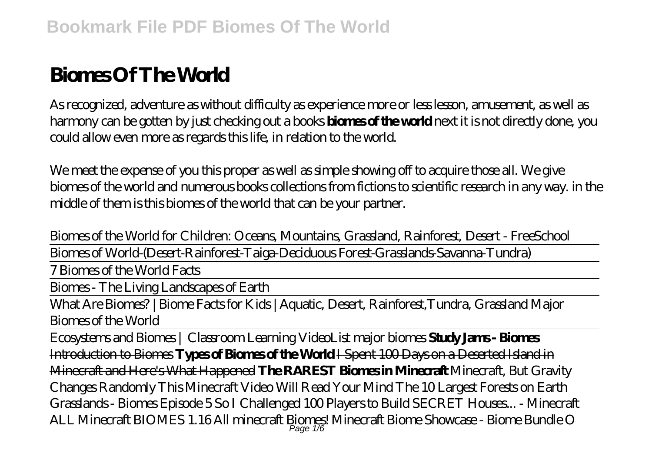# **Biomes Of The World**

As recognized, adventure as without difficulty as experience more or less lesson, amusement, as well as harmony can be gotten by just checking out a books **biomes of the world** next it is not directly done, you could allow even more as regards this life, in relation to the world.

We meet the expense of you this proper as well as simple showing off to acquire those all. We give biomes of the world and numerous books collections from fictions to scientific research in any way. in the middle of them is this biomes of the world that can be your partner.

*Biomes of the World for Children: Oceans, Mountains, Grassland, Rainforest, Desert - FreeSchool*

Biomes of World-(Desert-Rainforest-Taiga-Deciduous Forest-Grasslands-Savanna-Tundra)

7 Biomes of the World Facts

Biomes - The Living Landscapes of Earth

What Are Biomes? |Biome Facts for Kids |Aquatic, Desert, Rainforest,Tundra, Grassland Major Biomes of the World

Ecosystems and Biomes | Classroom Learning Video*List major biomes* **Study Jams - Biomes** Introduction to Biomes **Types of Biomes of the World** I Spent 100 Days on a Deserted Island in Minecraft and Here's What Happened **The RAREST Biomes in Minecraft** *Minecraft, But Gravity Changes Randomly* This Minecraft Video Will Read Your Mind The 10 Largest Forests on Earth *Grasslands - Biomes Episode 5* So I Challenged 100 Players to Build SECRET Houses... - Minecraft ALL Minecraft BIOMES 1.16 *All minecraft Biomes!* Minecraft Biome Showcase - Biome Bundle O Page 1/6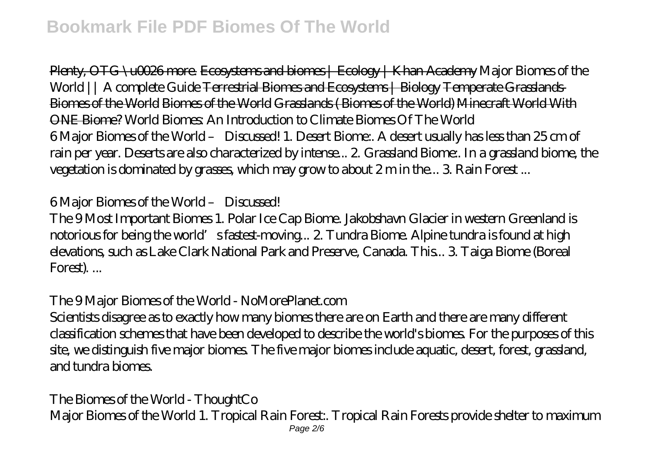Plenty, OTG \u0026 more. Ecosystems and biomes | Ecology | Khan Academy *Major Biomes of the World || A complete Guide* Terrestrial Biomes and Ecosystems | Biology Temperate Grasslands-Biomes of the World Biomes of the World Grasslands ( Biomes of the World) Minecraft World With ONE Biome? World Biomes: An Introduction to Climate Biomes Of The World 6 Major Biomes of the World – Discussed! 1. Desert Biome:. A desert usually has less than 25 cm of rain per year. Deserts are also characterized by intense... 2. Grassland Biome:. In a grassland biome, the vegetation is dominated by grasses, which may grow to about 2 m in the... 3. Rain Forest ...

#### 6 Major Biomes of the World – Discussed!

The 9 Most Important Biomes 1. Polar Ice Cap Biome. Jakobshavn Glacier in western Greenland is notorious for being the world's fastest-moving... 2. Tundra Biome. Alpine tundra is found at high elevations, such as Lake Clark National Park and Preserve, Canada. This... 3. Taiga Biome (Boreal Forest). ...

#### The 9 Major Biomes of the World - NoMorePlanet.com

Scientists disagree as to exactly how many biomes there are on Earth and there are many different classification schemes that have been developed to describe the world's biomes. For the purposes of this site, we distinguish five major biomes. The five major biomes include aquatic, desert, forest, grassland, and tundra biomes.

#### The Biomes of the World - ThoughtCo

Major Biomes of the World 1. Tropical Rain Forest:. Tropical Rain Forests provide shelter to maximum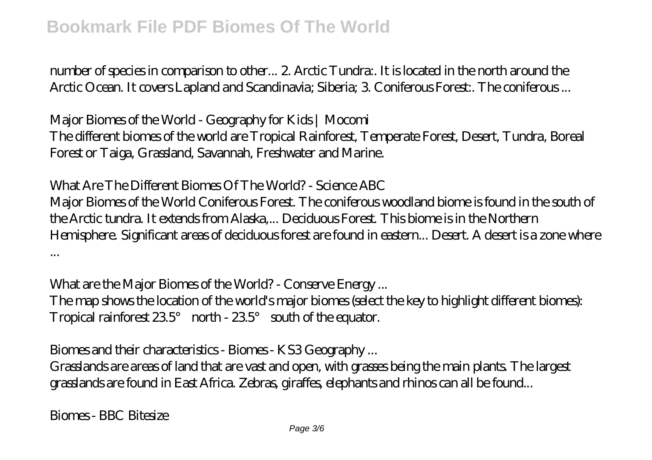number of species in comparison to other... 2. Arctic Tundra:. It is located in the north around the Arctic Ocean. It covers Lapland and Scandinavia; Siberia; 3. Coniferous Forest:. The coniferous ...

Major Biomes of the World - Geography for Kids | Mocomi The different biomes of the world are Tropical Rainforest, Temperate Forest, Desert, Tundra, Boreal Forest or Taiga, Grassland, Savannah, Freshwater and Marine.

What Are The Different Biomes Of The World? - Science ABC Major Biomes of the World Coniferous Forest. The coniferous woodland biome is found in the south of the Arctic tundra. It extends from Alaska,... Deciduous Forest. This biome is in the Northern Hemisphere. Significant areas of deciduous forest are found in eastern... Desert. A desert is a zone where ...

What are the Major Biomes of the World? - Conserve Energy ... The map shows the location of the world's major biomes (select the key to highlight different biomes): Tropical rainforest 23.5° north - 23.5° south of the equator.

Biomes and their characteristics - Biomes - KS3 Geography ...

Grasslands are areas of land that are vast and open, with grasses being the main plants. The largest grasslands are found in East Africa. Zebras, giraffes, elephants and rhinos can all be found...

Biomes - BBC Bitesize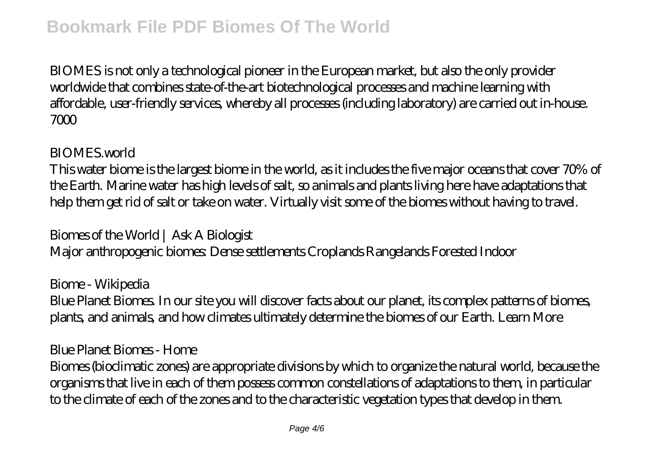BIOMES is not only a technological pioneer in the European market, but also the only provider worldwide that combines state-of-the-art biotechnological processes and machine learning with affordable, user-friendly services, whereby all processes (including laboratory) are carried out in-house. 7000

#### BIOMES.world

This water biome is the largest biome in the world, as it includes the five major oceans that cover 70% of the Earth. Marine water has high levels of salt, so animals and plants living here have adaptations that help them get rid of salt or take on water. Virtually visit some of the biomes without having to travel.

Biomes of the World | Ask A Biologist Major anthropogenic biomes: Dense settlements Croplands Rangelands Forested Indoor

Biome - Wikipedia Blue Planet Biomes. In our site you will discover facts about our planet, its complex patterns of biomes, plants, and animals, and how climates ultimately determine the biomes of our Earth. Learn More

#### Blue Planet Biomes - Home

Biomes (bioclimatic zones) are appropriate divisions by which to organize the natural world, because the organisms that live in each of them possess common constellations of adaptations to them, in particular to the climate of each of the zones and to the characteristic vegetation types that develop in them.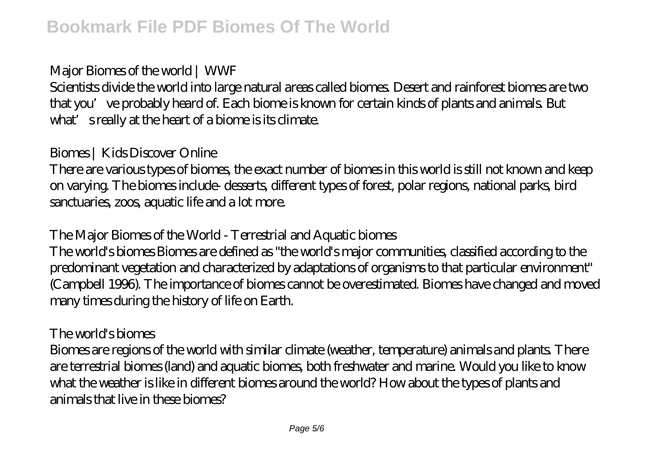# Major Biomes of the world | WWF

Scientists divide the world into large natural areas called biomes. Desert and rainforest biomes are two that you've probably heard of. Each biome is known for certain kinds of plants and animals. But what' sreally at the heart of a biome is its climate.

## Biomes | Kids Discover Online

There are various types of biomes, the exact number of biomes in this world is still not known and keep on varying. The biomes include- desserts, different types of forest, polar regions, national parks, bird sanctuaries, zoos, aquatic life and a lot more.

The Major Biomes of the World - Terrestrial and Aquatic biomes

The world's biomes Biomes are defined as "the world's major communities, classified according to the predominant vegetation and characterized by adaptations of organisms to that particular environment" (Campbell 1996). The importance of biomes cannot be overestimated. Biomes have changed and moved many times during the history of life on Earth.

### The world's biomes

Biomes are regions of the world with similar climate (weather, temperature) animals and plants. There are terrestrial biomes (land) and aquatic biomes, both freshwater and marine. Would you like to know what the weather is like in different biomes around the world? How about the types of plants and animals that live in these biomes?